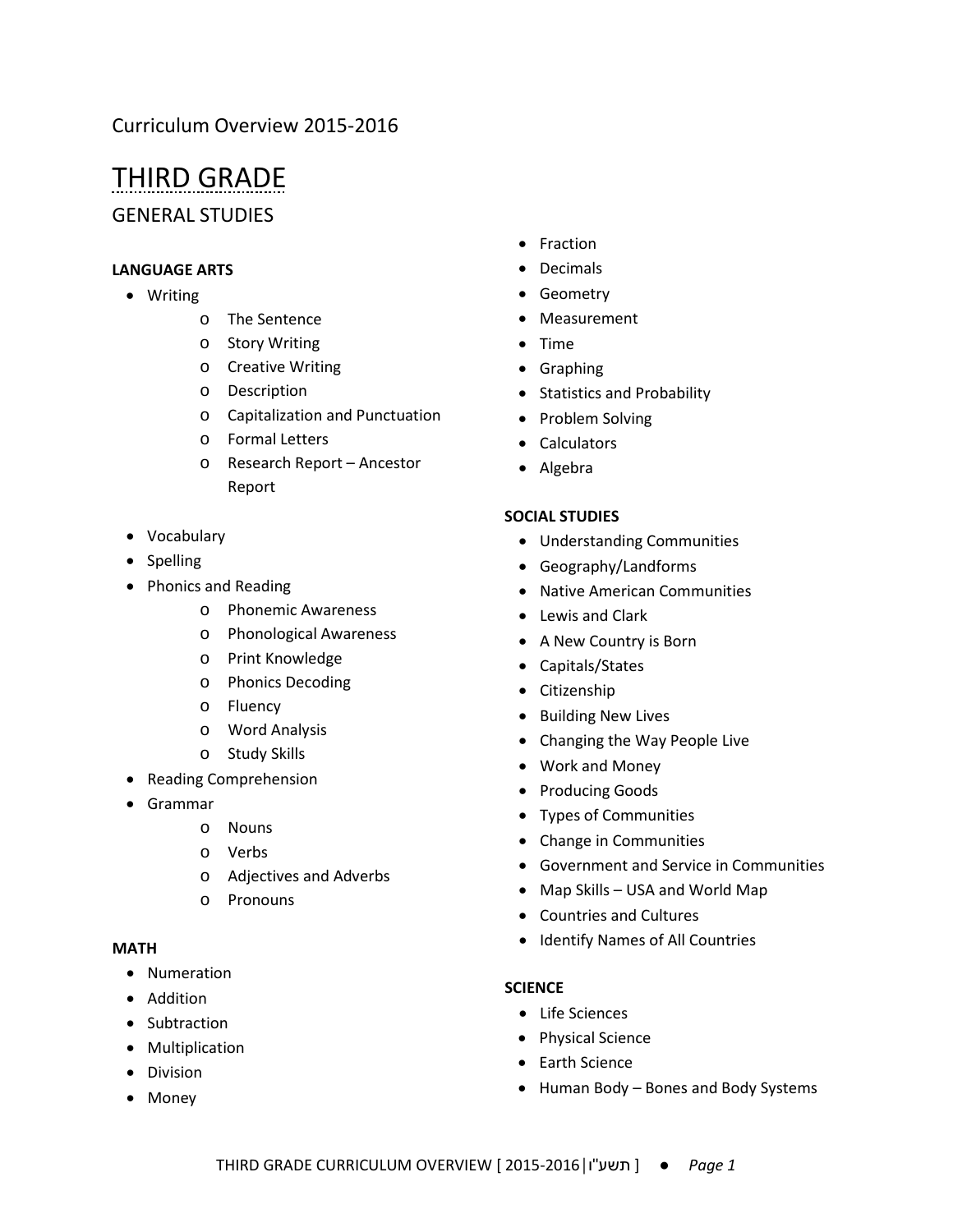# THIRD GRADE

GENERAL STUDIES

## **LANGUAGE ARTS**

- Writing
	- o The Sentence
	- o Story Writing
	- o Creative Writing
	- o Description
	- o Capitalization and Punctuation
	- o Formal Letters
	- o Research Report Ancestor Report
- Vocabulary
- Spelling
- Phonics and Reading
	- o Phonemic Awareness
	- o Phonological Awareness
	- o Print Knowledge
	- o Phonics Decoding
	- o Fluency
	- o Word Analysis
	- o Study Skills
- Reading Comprehension
- Grammar
	- o Nouns
	- o Verbs
	- o Adjectives and Adverbs
	- o Pronouns

#### **MATH**

- Numeration
- Addition
- Subtraction
- Multiplication
- Division
- Money
- Fraction
- Decimals
- Geometry
- Measurement
- Time
- Graphing
- Statistics and Probability
- Problem Solving
- Calculators
- Algebra

### **SOCIAL STUDIES**

- Understanding Communities
- Geography/Landforms
- Native American Communities
- Lewis and Clark
- A New Country is Born
- Capitals/States
- Citizenship
- Building New Lives
- Changing the Way People Live
- Work and Money
- Producing Goods
- Types of Communities
- Change in Communities
- Government and Service in Communities
- Map Skills USA and World Map
- Countries and Cultures
- Identify Names of All Countries

### **SCIENCE**

- Life Sciences
- Physical Science
- Earth Science
- Human Body Bones and Body Systems